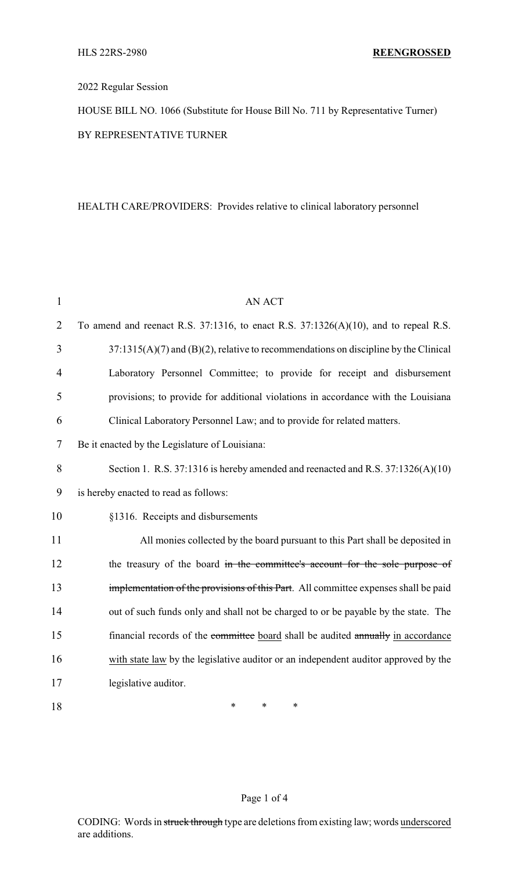## 2022 Regular Session

HOUSE BILL NO. 1066 (Substitute for House Bill No. 711 by Representative Turner) BY REPRESENTATIVE TURNER

## HEALTH CARE/PROVIDERS: Provides relative to clinical laboratory personnel

| $\mathbf{1}$   | AN ACT                                                                                    |
|----------------|-------------------------------------------------------------------------------------------|
| $\overline{2}$ | To amend and reenact R.S. $37:1316$ , to enact R.S. $37:1326(A)(10)$ , and to repeal R.S. |
| 3              | $37:1315(A)(7)$ and $(B)(2)$ , relative to recommendations on discipline by the Clinical  |
| 4              | Laboratory Personnel Committee; to provide for receipt and disbursement                   |
| 5              | provisions; to provide for additional violations in accordance with the Louisiana         |
| 6              | Clinical Laboratory Personnel Law; and to provide for related matters.                    |
| 7              | Be it enacted by the Legislature of Louisiana:                                            |
| 8              | Section 1. R.S. 37:1316 is hereby amended and reenacted and R.S. 37:1326(A)(10)           |
| 9              | is hereby enacted to read as follows:                                                     |
| 10             | §1316. Receipts and disbursements                                                         |
| 11             | All monies collected by the board pursuant to this Part shall be deposited in             |
| 12             | the treasury of the board in the committee's account for the sole purpose of              |
| 13             | implementation of the provisions of this Part. All committee expenses shall be paid       |
| 14             | out of such funds only and shall not be charged to or be payable by the state. The        |
| 15             | financial records of the committee board shall be audited annually in accordance          |
| 16             | with state law by the legislative auditor or an independent auditor approved by the       |
| 17             | legislative auditor.                                                                      |
| 18             | $\ast$<br>*<br>*                                                                          |

## Page 1 of 4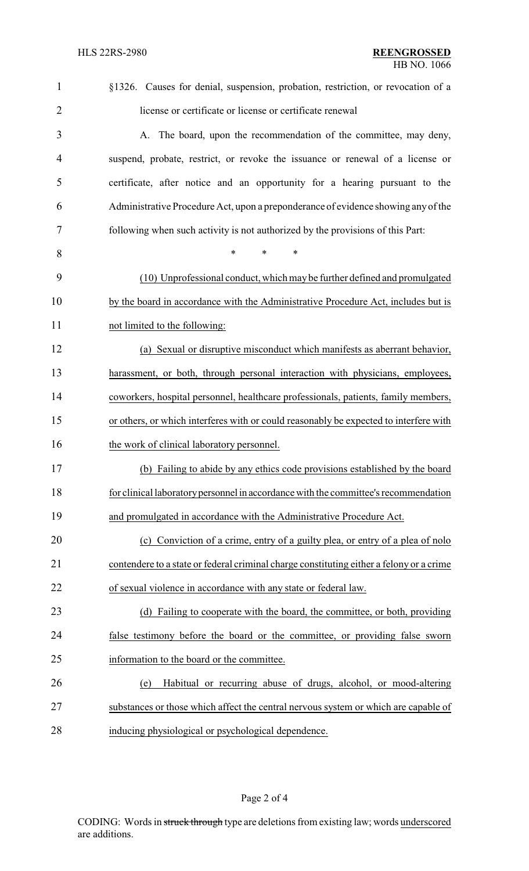| $\mathbf{1}$   | §1326. Causes for denial, suspension, probation, restriction, or revocation of a         |
|----------------|------------------------------------------------------------------------------------------|
| $\overline{2}$ | license or certificate or license or certificate renewal                                 |
| 3              | A. The board, upon the recommendation of the committee, may deny,                        |
| 4              | suspend, probate, restrict, or revoke the issuance or renewal of a license or            |
| 5              | certificate, after notice and an opportunity for a hearing pursuant to the               |
| 6              | Administrative Procedure Act, upon a preponderance of evidence showing any of the        |
| 7              | following when such activity is not authorized by the provisions of this Part:           |
| 8              | $\ast$<br>*<br>*                                                                         |
| 9              | (10) Unprofessional conduct, which may be further defined and promulgated                |
| 10             | by the board in accordance with the Administrative Procedure Act, includes but is        |
| 11             | not limited to the following:                                                            |
| 12             | (a) Sexual or disruptive misconduct which manifests as aberrant behavior,                |
| 13             | harassment, or both, through personal interaction with physicians, employees,            |
| 14             | coworkers, hospital personnel, healthcare professionals, patients, family members,       |
| 15             | or others, or which interferes with or could reasonably be expected to interfere with    |
| 16             | the work of clinical laboratory personnel.                                               |
| 17             | (b) Failing to abide by any ethics code provisions established by the board              |
| 18             | for clinical laboratory personnel in accordance with the committee's recommendation      |
| 19             | and promulgated in accordance with the Administrative Procedure Act.                     |
| 20             | (c) Conviction of a crime, entry of a guilty plea, or entry of a plea of nolo            |
| 21             | contendere to a state or federal criminal charge constituting either a felony or a crime |
| 22             | of sexual violence in accordance with any state or federal law.                          |
| 23             | (d) Failing to cooperate with the board, the committee, or both, providing               |
| 24             | false testimony before the board or the committee, or providing false sworn              |
| 25             | information to the board or the committee.                                               |
| 26             | Habitual or recurring abuse of drugs, alcohol, or mood-altering<br>(e)                   |
| 27             | substances or those which affect the central nervous system or which are capable of      |
| 28             | inducing physiological or psychological dependence.                                      |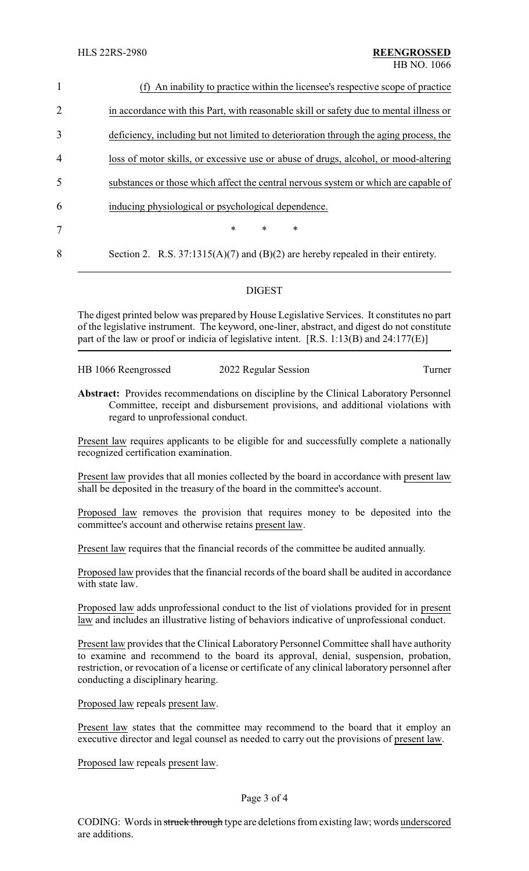| $\mathbf{1}$   | (f) An inability to practice within the licensee's respective scope of practice        |
|----------------|----------------------------------------------------------------------------------------|
| 2              | in accordance with this Part, with reasonable skill or safety due to mental illness or |
| 3              | deficiency, including but not limited to deterioration through the aging process, the  |
| $\overline{4}$ | loss of motor skills, or excessive use or abuse of drugs, alcohol, or mood-altering    |
| 5              | substances or those which affect the central nervous system or which are capable of    |
| 6              | inducing physiological or psychological dependence.                                    |
| 7              | $\ast$<br>$\ast$<br>*                                                                  |
| 8              | Section 2. R.S. $37:1315(A)(7)$ and $(B)(2)$ are hereby repealed in their entirety.    |
|                |                                                                                        |

## DIGEST

The digest printed below was prepared by House Legislative Services. It constitutes no part of the legislative instrument. The keyword, one-liner, abstract, and digest do not constitute part of the law or proof or indicia of legislative intent. [R.S. 1:13(B) and 24:177(E)]

HB 1066 Reengrossed 2022 Regular Session Turner

**Abstract:** Provides recommendations on discipline by the Clinical Laboratory Personnel Committee, receipt and disbursement provisions, and additional violations with regard to unprofessional conduct.

Present law requires applicants to be eligible for and successfully complete a nationally recognized certification examination.

Present law provides that all monies collected by the board in accordance with present law shall be deposited in the treasury of the board in the committee's account.

Proposed law removes the provision that requires money to be deposited into the committee's account and otherwise retains present law.

Present law requires that the financial records of the committee be audited annually.

Proposed law provides that the financial records of the board shall be audited in accordance with state law.

Proposed law adds unprofessional conduct to the list of violations provided for in present law and includes an illustrative listing of behaviors indicative of unprofessional conduct.

Present law provides that the Clinical Laboratory Personnel Committee shall have authority to examine and recommend to the board its approval, denial, suspension, probation, restriction, or revocation of a license or certificate of any clinical laboratory personnel after conducting a disciplinary hearing.

Proposed law repeals present law.

Present law states that the committee may recommend to the board that it employ an executive director and legal counsel as needed to carry out the provisions of present law.

Proposed law repeals present law.